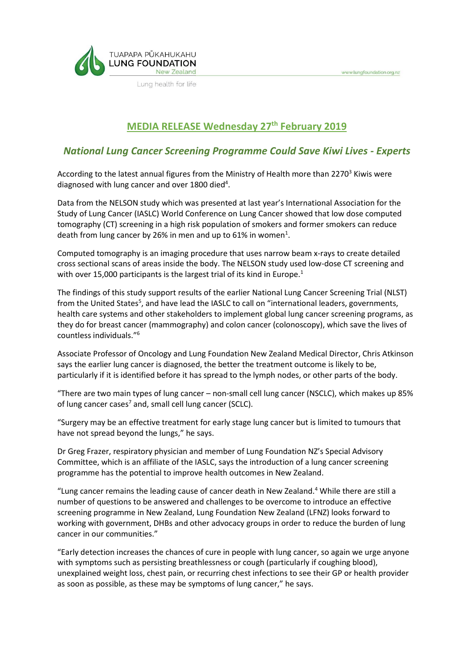

Lung health for life

# **MEDIA RELEASE Wednesday 27 th February 2019**

www.lungfoundation.org.nz

## *National Lung Cancer Screening Programme Could Save Kiwi Lives - Experts*

According to the latest annual figures from the Ministry of Health more than 2270<sup>3</sup> Kiwis were diagnosed with lung cancer and over 1800 died<sup>4</sup>.

Data from the NELSON study which was presented at last year's International Association for the Study of Lung Cancer (IASLC) World Conference on Lung Cancer showed that low dose computed tomography (CT) screening in a high risk population of smokers and former smokers can reduce death from lung cancer by 26% in men and up to 61% in women<sup>1</sup>.

Computed tomography is an imaging procedure that uses narrow beam x-rays to create detailed cross sectional scans of areas inside the body. The NELSON study used low-dose CT screening and with over 15,000 participants is the largest trial of its kind in Europe.<sup>1</sup>

The findings of this study support results of the earlier National Lung Cancer Screening Trial (NLST) from the United States<sup>5</sup>, and have lead the IASLC to call on "international leaders, governments, health care systems and other stakeholders to implement global lung cancer screening programs, as they do for breast cancer (mammography) and colon cancer (colonoscopy), which save the lives of countless individuals."<sup>6</sup>

Associate Professor of Oncology and Lung Foundation New Zealand Medical Director, Chris Atkinson says the earlier lung cancer is diagnosed, the better the treatment outcome is likely to be, particularly if it is identified before it has spread to the lymph nodes, or other parts of the body.

"There are two main types of lung cancer – non-small cell lung cancer (NSCLC), which makes up 85% of lung cancer cases<sup>7</sup> and, small cell lung cancer (SCLC).

"Surgery may be an effective treatment for early stage lung cancer but is limited to tumours that have not spread beyond the lungs," he says.

Dr Greg Frazer, respiratory physician and member of Lung Foundation NZ's Special Advisory Committee, which is an affiliate of the IASLC, says the introduction of a lung cancer screening programme has the potential to improve health outcomes in New Zealand.

"Lung cancer remains the leading cause of cancer death in New Zealand.<sup>4</sup> While there are still a number of questions to be answered and challenges to be overcome to introduce an effective screening programme in New Zealand, Lung Foundation New Zealand (LFNZ) looks forward to working with government, DHBs and other advocacy groups in order to reduce the burden of lung cancer in our communities."

"Early detection increases the chances of cure in people with lung cancer, so again we urge anyone with symptoms such as persisting breathlessness or cough (particularly if coughing blood), unexplained weight loss, chest pain, or recurring chest infections to see their GP or health provider as soon as possible, as these may be symptoms of lung cancer," he says.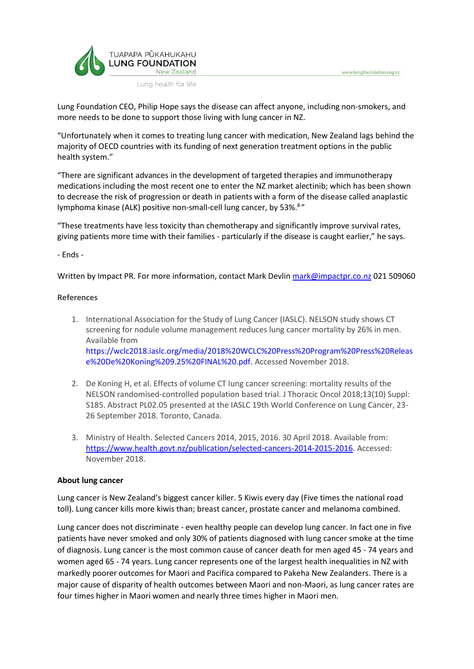

Lung health for life

Lung Foundation CEO, Philip Hope says the disease can affect anyone, including non-smokers, and more needs to be done to support those living with lung cancer in NZ.

www.lungfoundation.org.nz

"Unfortunately when it comes to treating lung cancer with medication, New Zealand lags behind the majority of OECD countries with its funding of next generation treatment options in the public health system."

"There are significant advances in the development of targeted therapies and immunotherapy medications including the most recent one to enter the NZ market alectinib; which has been shown to decrease the risk of progression or death in patients with a form of the disease called anaplastic lymphoma kinase (ALK) positive non-small-cell lung cancer, by 53%.<sup>8</sup>"

"These treatments have less toxicity than chemotherapy and significantly improve survival rates, giving patients more time with their families - particularly if the disease is caught earlier," he says.

- Ends -

Written by Impact PR. For more information, contact Mark Devlin [mark@impactpr.co.nz](mailto:mark@impactpr.co.nz) 021 509060

#### **References**

- 1. International Association for the Study of Lung Cancer (IASLC). NELSON study shows CT screening for nodule volume management reduces lung cancer mortality by 26% in men. Available from [https://wclc2018.iaslc.org/media/2018%20WCLC%20Press%20Program%20Press%20Releas](https://wclc2018.iaslc.org/media/2018%20WCLC%20Press%20Program%20Press%20Release%20De%20Koning%209.25%20FINAL%20.pdf) [e%20De%20Koning%209.25%20FINAL%20.pdf.](https://wclc2018.iaslc.org/media/2018%20WCLC%20Press%20Program%20Press%20Release%20De%20Koning%209.25%20FINAL%20.pdf) Accessed November 2018.
- 2. De Koning H, et al. Effects of volume CT lung cancer screening: mortality results of the NELSON randomised-controlled population based trial. J Thoracic Oncol 2018;13(10) Suppl: S185. Abstract PL02.05 presented at the IASLC 19th World Conference on Lung Cancer, 23- 26 September 2018. Toronto, Canada.
- 3. Ministry of Health. Selected Cancers 2014, 2015, 2016. 30 April 2018. Available from: [https://www.health.govt.nz/publication/selected-cancers-2014-2015-2016.](https://lnk.ie/32NRR/e=content@nzdoctor.co.nz/https:/www.health.govt.nz/publication/selected-cancers-2014-2015-2016) Accessed: November 2018.

#### **About lung cancer**

Lung cancer is New Zealand's biggest cancer killer. 5 Kiwis every day (Five times the national road toll). Lung cancer kills more kiwis than; breast cancer, prostate cancer and melanoma combined.

Lung cancer does not discriminate - even healthy people can develop lung cancer. In fact one in five patients have never smoked and only 30% of patients diagnosed with lung cancer smoke at the time of diagnosis. Lung cancer is the most common cause of cancer death for men aged 45 - 74 years and women aged 65 - 74 years. Lung cancer represents one of the largest health inequalities in NZ with markedly poorer outcomes for Maori and Pacifica compared to Pakeha New Zealanders. There is a major cause of disparity of health outcomes between Maori and non-Maori, as lung cancer rates are four times higher in Maori women and nearly three times higher in Maori men.